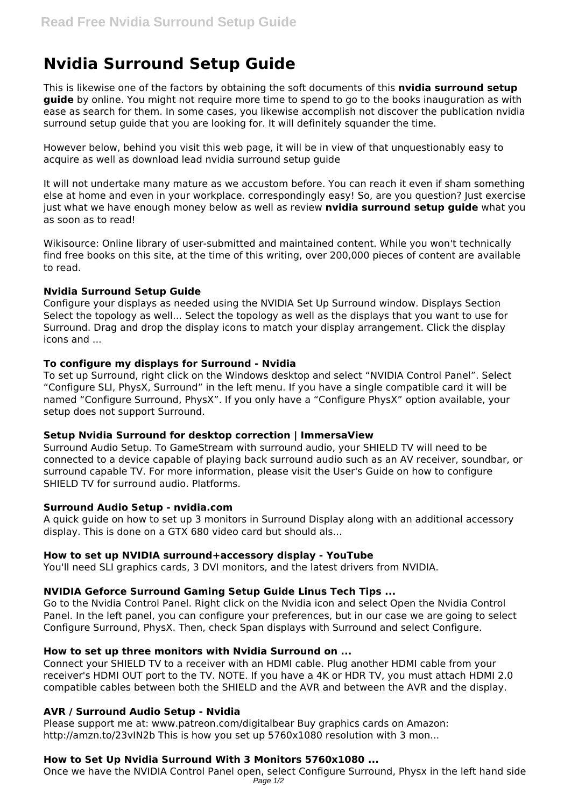# **Nvidia Surround Setup Guide**

This is likewise one of the factors by obtaining the soft documents of this **nvidia surround setup guide** by online. You might not require more time to spend to go to the books inauguration as with ease as search for them. In some cases, you likewise accomplish not discover the publication nvidia surround setup guide that you are looking for. It will definitely squander the time.

However below, behind you visit this web page, it will be in view of that unquestionably easy to acquire as well as download lead nvidia surround setup guide

It will not undertake many mature as we accustom before. You can reach it even if sham something else at home and even in your workplace. correspondingly easy! So, are you question? Just exercise just what we have enough money below as well as review **nvidia surround setup guide** what you as soon as to read!

Wikisource: Online library of user-submitted and maintained content. While you won't technically find free books on this site, at the time of this writing, over 200,000 pieces of content are available to read.

## **Nvidia Surround Setup Guide**

Configure your displays as needed using the NVIDIA Set Up Surround window. Displays Section Select the topology as well... Select the topology as well as the displays that you want to use for Surround. Drag and drop the display icons to match your display arrangement. Click the display icons and ...

## **To configure my displays for Surround - Nvidia**

To set up Surround, right click on the Windows desktop and select "NVIDIA Control Panel". Select "Configure SLI, PhysX, Surround" in the left menu. If you have a single compatible card it will be named "Configure Surround, PhysX". If you only have a "Configure PhysX" option available, your setup does not support Surround.

#### **Setup Nvidia Surround for desktop correction | ImmersaView**

Surround Audio Setup. To GameStream with surround audio, your SHIELD TV will need to be connected to a device capable of playing back surround audio such as an AV receiver, soundbar, or surround capable TV. For more information, please visit the User's Guide on how to configure SHIELD TV for surround audio. Platforms.

#### **Surround Audio Setup - nvidia.com**

A quick guide on how to set up 3 monitors in Surround Display along with an additional accessory display. This is done on a GTX 680 video card but should als...

#### **How to set up NVIDIA surround+accessory display - YouTube**

You'll need SLI graphics cards, 3 DVI monitors, and the latest drivers from NVIDIA.

# **NVIDIA Geforce Surround Gaming Setup Guide Linus Tech Tips ...**

Go to the Nvidia Control Panel. Right click on the Nvidia icon and select Open the Nvidia Control Panel. In the left panel, you can configure your preferences, but in our case we are going to select Configure Surround, PhysX. Then, check Span displays with Surround and select Configure.

#### **How to set up three monitors with Nvidia Surround on ...**

Connect your SHIELD TV to a receiver with an HDMI cable. Plug another HDMI cable from your receiver's HDMI OUT port to the TV. NOTE. If you have a 4K or HDR TV, you must attach HDMI 2.0 compatible cables between both the SHIELD and the AVR and between the AVR and the display.

# **AVR / Surround Audio Setup - Nvidia**

Please support me at: www.patreon.com/digitalbear Buy graphics cards on Amazon: http://amzn.to/23vIN2b This is how you set up 5760x1080 resolution with 3 mon...

# **How to Set Up Nvidia Surround With 3 Monitors 5760x1080 ...**

Once we have the NVIDIA Control Panel open, select Configure Surround, Physx in the left hand side Page  $1/2$